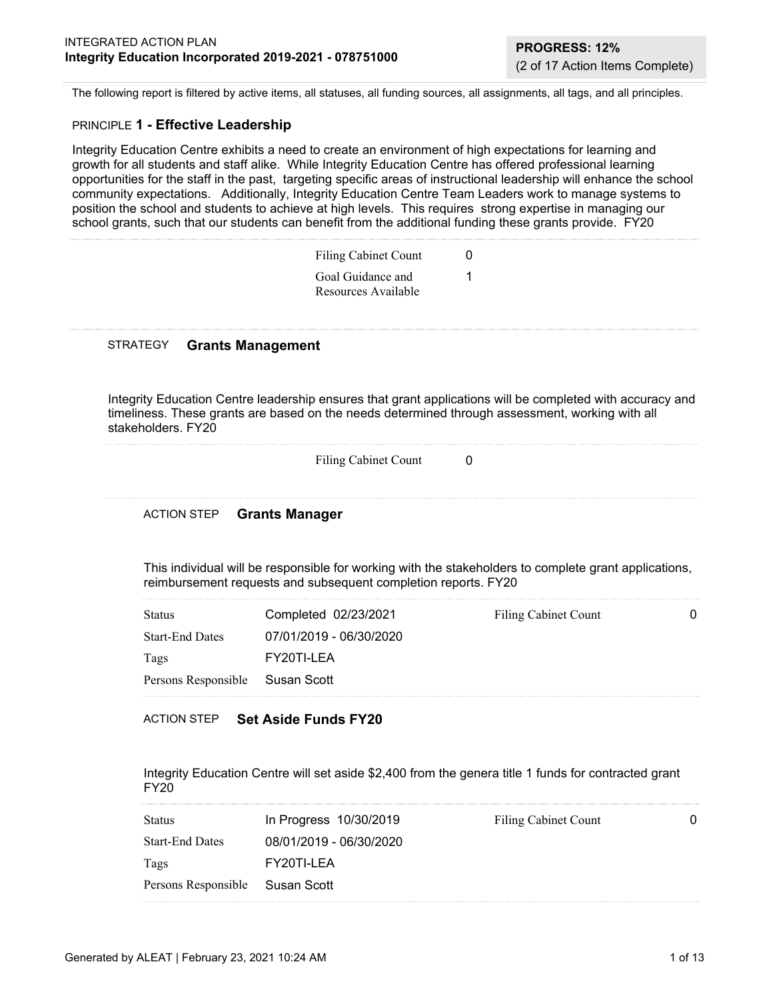The following report is filtered by active items, all statuses, all funding sources, all assignments, all tags, and all principles.

#### PRINCIPLE **1 - Effective Leadership**

Integrity Education Centre exhibits a need to create an environment of high expectations for learning and growth for all students and staff alike. While Integrity Education Centre has offered professional learning opportunities for the staff in the past, targeting specific areas of instructional leadership will enhance the school community expectations. Additionally, Integrity Education Centre Team Leaders work to manage systems to position the school and students to achieve at high levels. This requires strong expertise in managing our school grants, such that our students can benefit from the additional funding these grants provide. FY20

| <b>Filing Cabinet Count</b>              | 0 |
|------------------------------------------|---|
| Goal Guidance and<br>Resources Available |   |

#### STRATEGY **Grants Management**

Integrity Education Centre leadership ensures that grant applications will be completed with accuracy and timeliness. These grants are based on the needs determined through assessment, working with all stakeholders. FY20

| Filing Cabinet Count |  |
|----------------------|--|
|----------------------|--|

#### ACTION STEP **Grants Manager**

This individual will be responsible for working with the stakeholders to complete grant applications, reimbursement requests and subsequent completion reports. FY20

| <b>Status</b>                   | Completed 02/23/2021    | Filing Cabinet Count |  |
|---------------------------------|-------------------------|----------------------|--|
| <b>Start-End Dates</b>          | 07/01/2019 - 06/30/2020 |                      |  |
| Tags                            | FY20TI-LEA              |                      |  |
| Persons Responsible Susan Scott |                         |                      |  |

#### ACTION STEP **Set Aside Funds FY20**

Integrity Education Centre will set aside \$2,400 from the genera title 1 funds for contracted grant FY20

| <b>Status</b>                   | In Progress 10/30/2019  | Filing Cabinet Count | 0 |
|---------------------------------|-------------------------|----------------------|---|
| <b>Start-End Dates</b>          | 08/01/2019 - 06/30/2020 |                      |   |
| Tags                            | FY20TI-LEA              |                      |   |
| Persons Responsible Susan Scott |                         |                      |   |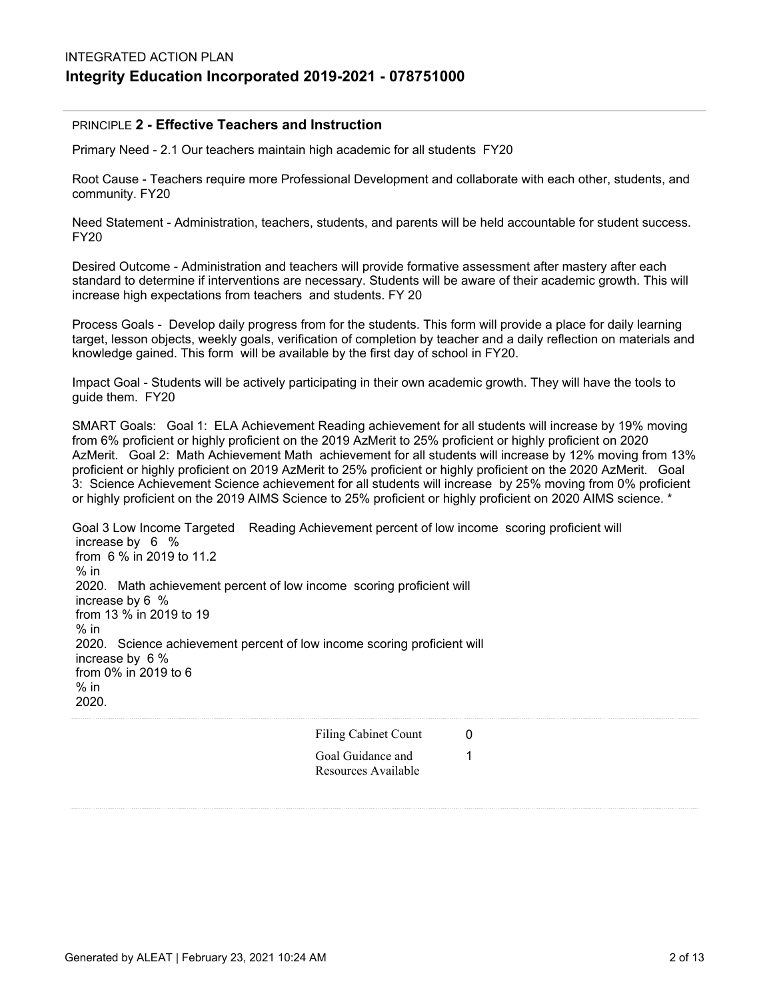#### PRINCIPLE **2 - Effective Teachers and Instruction**

Primary Need - 2.1 Our teachers maintain high academic for all students FY20

Root Cause - Teachers require more Professional Development and collaborate with each other, students, and community. FY20

Need Statement - Administration, teachers, students, and parents will be held accountable for student success. FY20

Desired Outcome - Administration and teachers will provide formative assessment after mastery after each standard to determine if interventions are necessary. Students will be aware of their academic growth. This will increase high expectations from teachers and students. FY 20

Process Goals - Develop daily progress from for the students. This form will provide a place for daily learning target, lesson objects, weekly goals, verification of completion by teacher and a daily reflection on materials and knowledge gained. This form will be available by the first day of school in FY20.

Impact Goal - Students will be actively participating in their own academic growth. They will have the tools to guide them. FY20

SMART Goals: Goal 1: ELA Achievement Reading achievement for all students will increase by 19% moving from 6% proficient or highly proficient on the 2019 AzMerit to 25% proficient or highly proficient on 2020 AzMerit. Goal 2: Math Achievement Math achievement for all students will increase by 12% moving from 13% proficient or highly proficient on 2019 AzMerit to 25% proficient or highly proficient on the 2020 AzMerit. Goal 3: Science Achievement Science achievement for all students will increase by 25% moving from 0% proficient or highly proficient on the 2019 AIMS Science to 25% proficient or highly proficient on 2020 AIMS science. \*

Goal 3 Low Income Targeted Reading Achievement percent of low income scoring proficient will increase by 6 % from 6 % in 2019 to 11.2  $%$  in 2020. Math achievement percent of low income scoring proficient will increase by 6 % from 13 % in 2019 to 19  $%$  in 2020. Science achievement percent of low income scoring proficient will increase by 6 % from 0% in 2019 to 6  $%$  in 2020.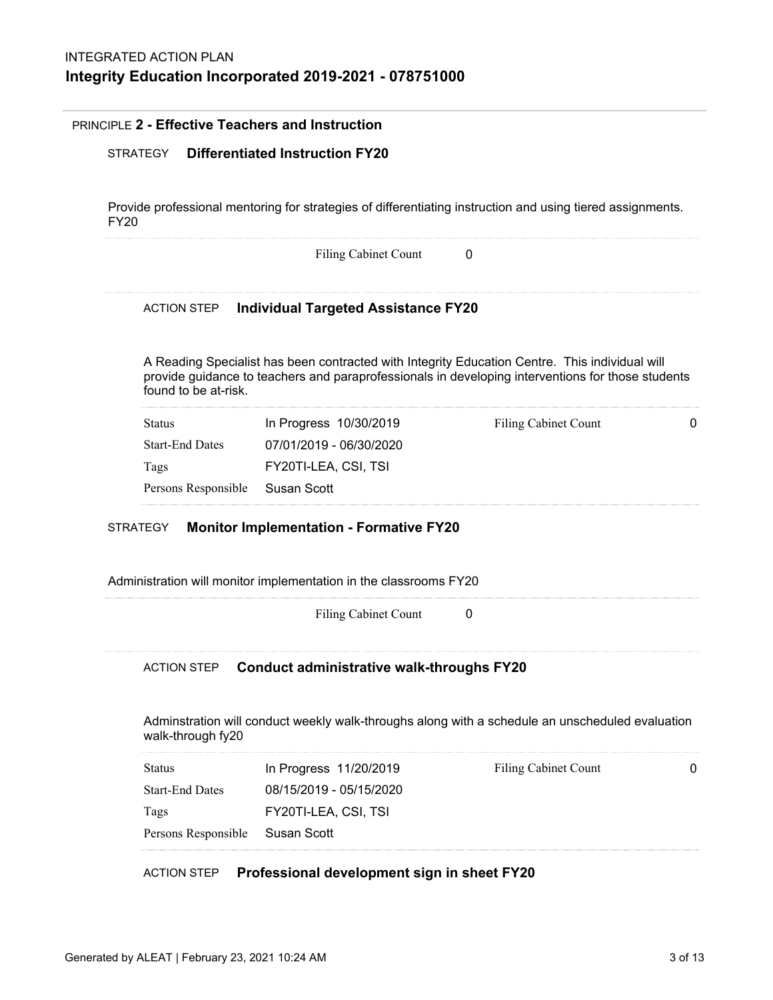## PRINCIPLE **2 - Effective Teachers and Instruction**

#### STRATEGY **Differentiated Instruction FY20**

Provide professional mentoring for strategies of differentiating instruction and using tiered assignments. FY20

Filing Cabinet Count 0

#### ACTION STEP **Individual Targeted Assistance FY20**

A Reading Specialist has been contracted with Integrity Education Centre. This individual will provide guidance to teachers and paraprofessionals in developing interventions for those students found to be at-risk.

| Status          | In Progress 10/30/2019  | Filing Cabinet Count | 0 |
|-----------------|-------------------------|----------------------|---|
| Start-End Dates | 07/01/2019 - 06/30/2020 |                      |   |
| Tags            | FY20TI-LEA. CSI. TSI    |                      |   |
|                 |                         |                      |   |

#### STRATEGY **Monitor Implementation - Formative FY20**

Administration will monitor implementation in the classrooms FY20

Filing Cabinet Count 0

#### ACTION STEP **Conduct administrative walk-throughs FY20**

Adminstration will conduct weekly walk-throughs along with a schedule an unscheduled evaluation walk-through fy20

| Status          | In Progress 11/20/2019  | Filing Cabinet Count | 0 |
|-----------------|-------------------------|----------------------|---|
| Start-End Dates | 08/15/2019 - 05/15/2020 |                      |   |
| Tags            | FY20TI-LEA, CSI, TSI    |                      |   |
|                 |                         |                      |   |

#### ACTION STEP **Professional development sign in sheet FY20**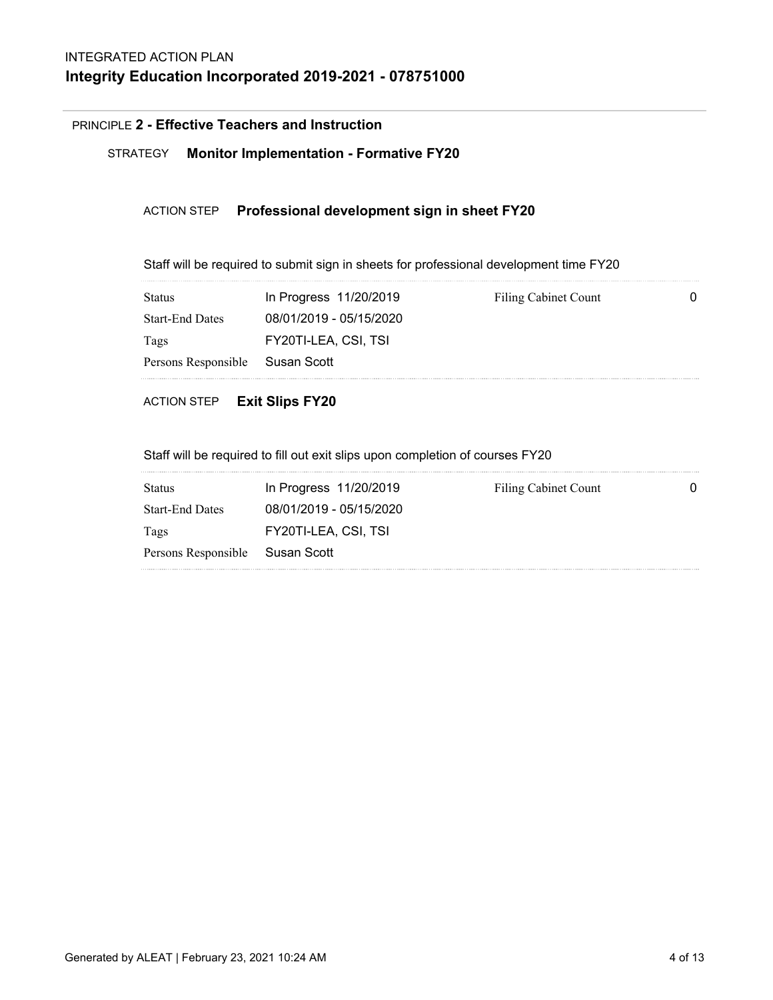# PRINCIPLE **2 - Effective Teachers and Instruction**

# STRATEGY **Monitor Implementation - Formative FY20**

# ACTION STEP **Professional development sign in sheet FY20**

Staff will be required to submit sign in sheets for professional development time FY20

| <b>Status</b>                   | In Progress 11/20/2019  | Filing Cabinet Count |  |
|---------------------------------|-------------------------|----------------------|--|
| <b>Start-End Dates</b>          | 08/01/2019 - 05/15/2020 |                      |  |
| Tags                            | FY20TI-LEA, CSI, TSI    |                      |  |
| Persons Responsible Susan Scott |                         |                      |  |
|                                 |                         |                      |  |

## ACTION STEP **Exit Slips FY20**

Staff will be required to fill out exit slips upon completion of courses FY20

| <b>Status</b>                   | In Progress 11/20/2019  | Filing Cabinet Count | 0 |
|---------------------------------|-------------------------|----------------------|---|
| <b>Start-End Dates</b>          | 08/01/2019 - 05/15/2020 |                      |   |
| Tags                            | FY20TI-LEA, CSI, TSI    |                      |   |
| Persons Responsible Susan Scott |                         |                      |   |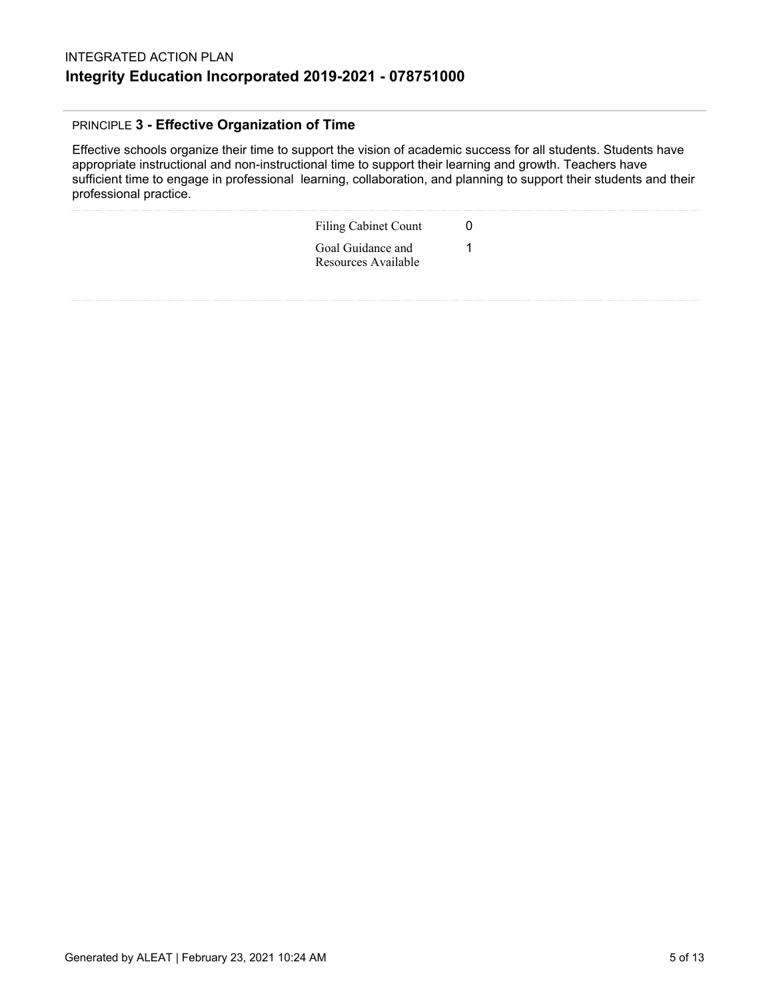# PRINCIPLE **3 - Effective Organization of Time**

Effective schools organize their time to support the vision of academic success for all students. Students have appropriate instructional and non-instructional time to support their learning and growth. Teachers have sufficient time to engage in professional learning, collaboration, and planning to support their students and their professional practice.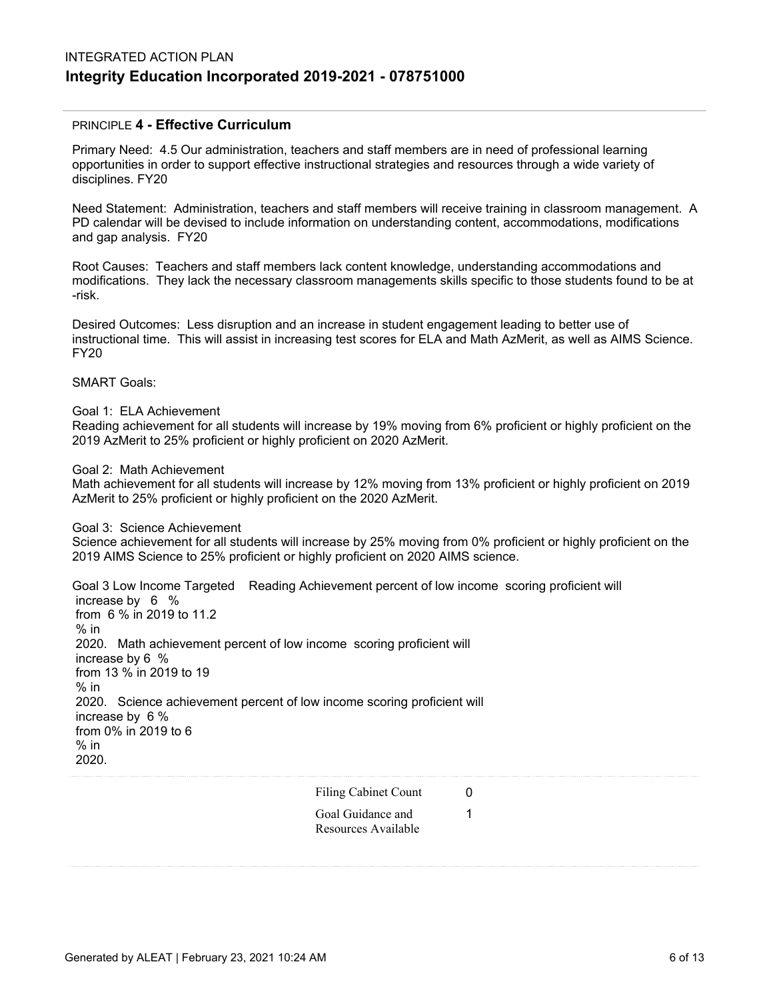# INTEGRATED ACTION PLAN **Integrity Education Incorporated 2019-2021 - 078751000**

## PRINCIPLE **4 - Effective Curriculum**

Primary Need: 4.5 Our administration, teachers and staff members are in need of professional learning opportunities in order to support effective instructional strategies and resources through a wide variety of disciplines. FY20

Need Statement: Administration, teachers and staff members will receive training in classroom management. A PD calendar will be devised to include information on understanding content, accommodations, modifications and gap analysis. FY20

Root Causes: Teachers and staff members lack content knowledge, understanding accommodations and modifications. They lack the necessary classroom managements skills specific to those students found to be at -risk.

Desired Outcomes: Less disruption and an increase in student engagement leading to better use of instructional time. This will assist in increasing test scores for ELA and Math AzMerit, as well as AIMS Science. FY20

SMART Goals:

Goal 1: ELA Achievement

Reading achievement for all students will increase by 19% moving from 6% proficient or highly proficient on the 2019 AzMerit to 25% proficient or highly proficient on 2020 AzMerit.

Goal 2: Math Achievement

Math achievement for all students will increase by 12% moving from 13% proficient or highly proficient on 2019 AzMerit to 25% proficient or highly proficient on the 2020 AzMerit.

Goal 3: Science Achievement

Science achievement for all students will increase by 25% moving from 0% proficient or highly proficient on the 2019 AIMS Science to 25% proficient or highly proficient on 2020 AIMS science.

Goal 3 Low Income Targeted Reading Achievement percent of low income scoring proficient will increase by 6 % from 6 % in 2019 to 11.2 % in 2020. Math achievement percent of low income scoring proficient will increase by 6 % from 13 % in 2019 to 19  $%$  in 2020. Science achievement percent of low income scoring proficient will increase by 6 % from 0% in 2019 to 6 % in 2020.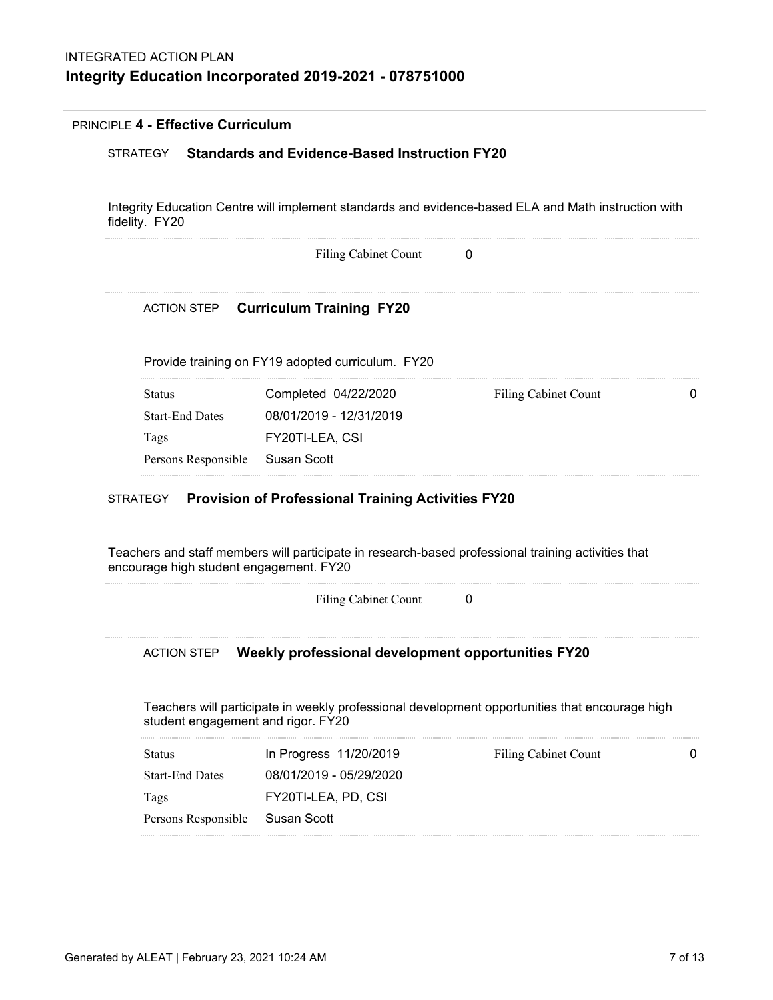## PRINCIPLE **4 - Effective Curriculum**

## STRATEGY **Standards and Evidence-Based Instruction FY20**

Integrity Education Centre will implement standards and evidence-based ELA and Math instruction with fidelity. FY20

Filing Cabinet Count 0

# ACTION STEP **Curriculum Training FY20**

Provide training on FY19 adopted curriculum. FY20

| Status          | Completed 04/22/2020    | Filing Cabinet Count | 0 |
|-----------------|-------------------------|----------------------|---|
| Start-End Dates | 08/01/2019 - 12/31/2019 |                      |   |
| Tags            | FY20TI-LEA. CSI         |                      |   |
|                 |                         |                      |   |
|                 |                         |                      |   |

## STRATEGY **Provision of Professional Training Activities FY20**

Teachers and staff members will participate in research-based professional training activities that encourage high student engagement. FY20

Filing Cabinet Count 0

#### ACTION STEP **Weekly professional development opportunities FY20**

Teachers will participate in weekly professional development opportunities that encourage high student engagement and rigor. FY20

| Status          | In Progress 11/20/2019  | Filing Cabinet Count | 0 |
|-----------------|-------------------------|----------------------|---|
| Start-End Dates | 08/01/2019 - 05/29/2020 |                      |   |
| Tags            | FY20TI-LEA, PD, CSI     |                      |   |
|                 |                         |                      |   |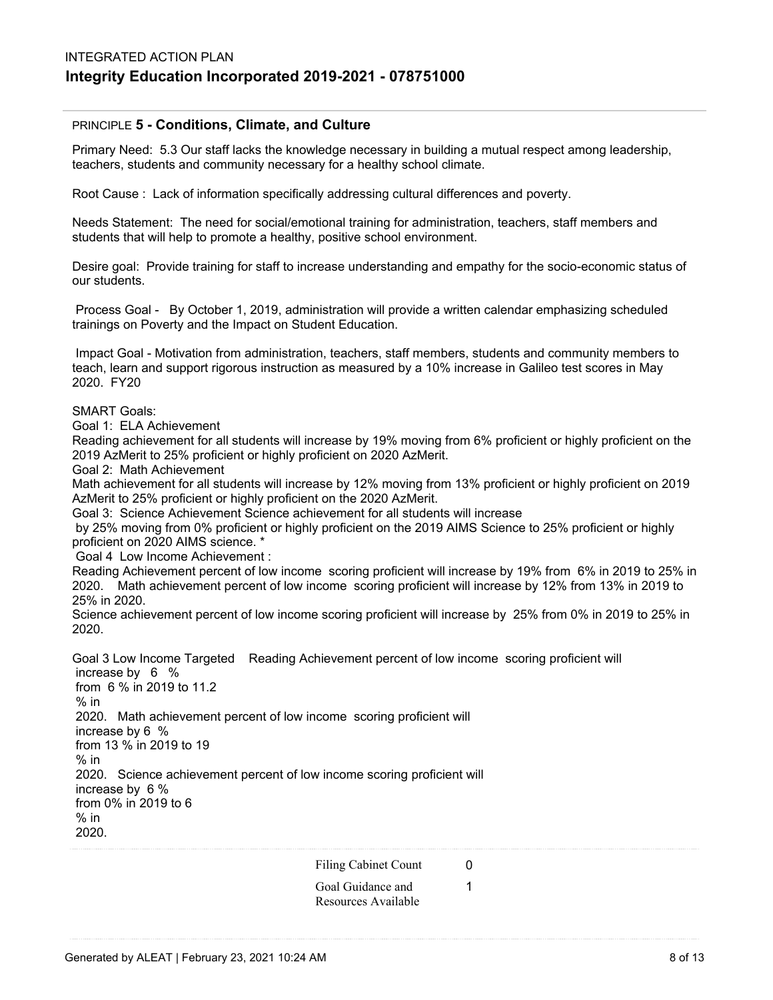## PRINCIPLE **5 - Conditions, Climate, and Culture**

Primary Need: 5.3 Our staff lacks the knowledge necessary in building a mutual respect among leadership, teachers, students and community necessary for a healthy school climate.

Root Cause : Lack of information specifically addressing cultural differences and poverty.

Needs Statement: The need for social/emotional training for administration, teachers, staff members and students that will help to promote a healthy, positive school environment.

Desire goal: Provide training for staff to increase understanding and empathy for the socio-economic status of our students.

 Process Goal - By October 1, 2019, administration will provide a written calendar emphasizing scheduled trainings on Poverty and the Impact on Student Education.

 Impact Goal - Motivation from administration, teachers, staff members, students and community members to teach, learn and support rigorous instruction as measured by a 10% increase in Galileo test scores in May 2020. FY20

SMART Goals:

Goal 1: ELA Achievement

Reading achievement for all students will increase by 19% moving from 6% proficient or highly proficient on the 2019 AzMerit to 25% proficient or highly proficient on 2020 AzMerit.

Goal 2: Math Achievement

Math achievement for all students will increase by 12% moving from 13% proficient or highly proficient on 2019 AzMerit to 25% proficient or highly proficient on the 2020 AzMerit.

Goal 3: Science Achievement Science achievement for all students will increase

 by 25% moving from 0% proficient or highly proficient on the 2019 AIMS Science to 25% proficient or highly proficient on 2020 AIMS science. \*

Goal 4 Low Income Achievement :

Reading Achievement percent of low income scoring proficient will increase by 19% from 6% in 2019 to 25% in 2020. Math achievement percent of low income scoring proficient will increase by 12% from 13% in 2019 to 25% in 2020.

Science achievement percent of low income scoring proficient will increase by 25% from 0% in 2019 to 25% in 2020.

Goal 3 Low Income Targeted Reading Achievement percent of low income scoring proficient will increase by 6 %

 from 6 % in 2019 to 11.2 % in 2020. Math achievement percent of low income scoring proficient will increase by 6 % from 13 % in 2019 to 19  $%$  in 2020. Science achievement percent of low income scoring proficient will increase by 6 % from 0% in 2019 to 6  $%$  in 2020.

Filing Cabinet Count 0

Goal Guidance and 1 Resources Available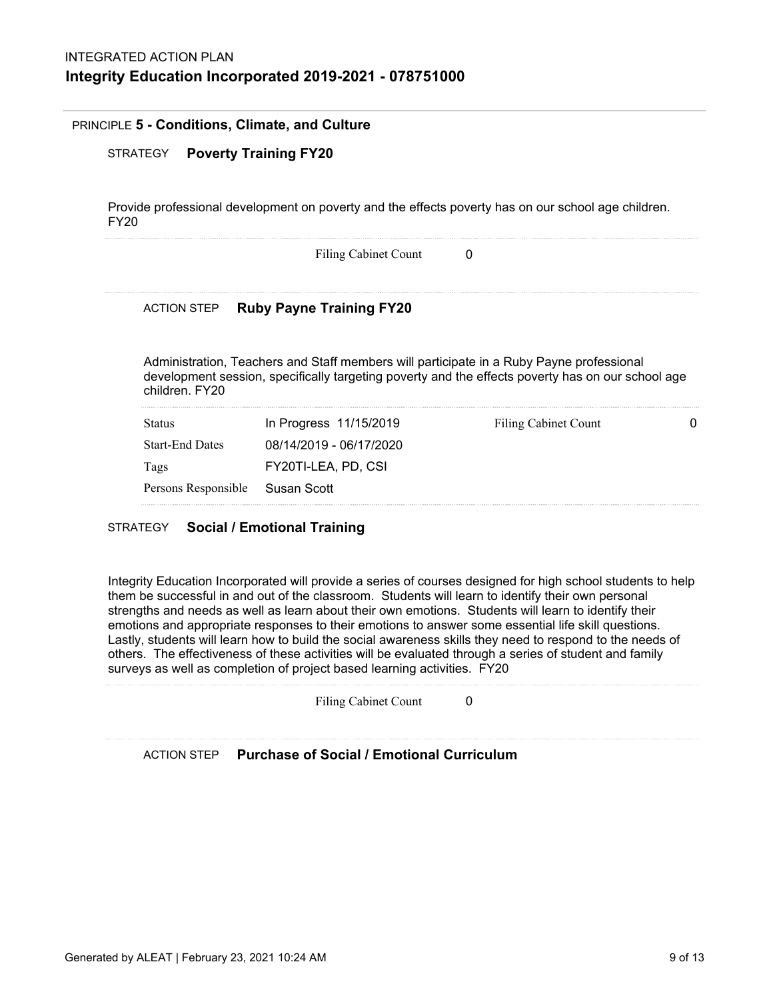#### PRINCIPLE **5 - Conditions, Climate, and Culture**

# STRATEGY **Poverty Training FY20**

Provide professional development on poverty and the effects poverty has on our school age children. FY20

|                        | <b>Filing Cabinet Count</b>     | 0                                                                                                                                                                                             |  |
|------------------------|---------------------------------|-----------------------------------------------------------------------------------------------------------------------------------------------------------------------------------------------|--|
| <b>ACTION STEP</b>     | <b>Ruby Payne Training FY20</b> |                                                                                                                                                                                               |  |
|                        |                                 |                                                                                                                                                                                               |  |
| children, FY20         |                                 | Administration, Teachers and Staff members will participate in a Ruby Payne professional<br>development session, specifically targeting poverty and the effects poverty has on our school age |  |
| <b>Status</b>          | In Progress 11/15/2019          | Filing Cabinet Count                                                                                                                                                                          |  |
| <b>Start-End Dates</b> | 08/14/2019 - 06/17/2020         |                                                                                                                                                                                               |  |
| Tags                   | FY20TI-LEA, PD, CSI             |                                                                                                                                                                                               |  |

# STRATEGY **Social / Emotional Training**

Integrity Education Incorporated will provide a series of courses designed for high school students to help them be successful in and out of the classroom. Students will learn to identify their own personal strengths and needs as well as learn about their own emotions. Students will learn to identify their emotions and appropriate responses to their emotions to answer some essential life skill questions. Lastly, students will learn how to build the social awareness skills they need to respond to the needs of others. The effectiveness of these activities will be evaluated through a series of student and family surveys as well as completion of project based learning activities. FY20

| <b>Filing Cabinet Count</b> |  |
|-----------------------------|--|
|-----------------------------|--|

# ACTION STEP **Purchase of Social / Emotional Curriculum**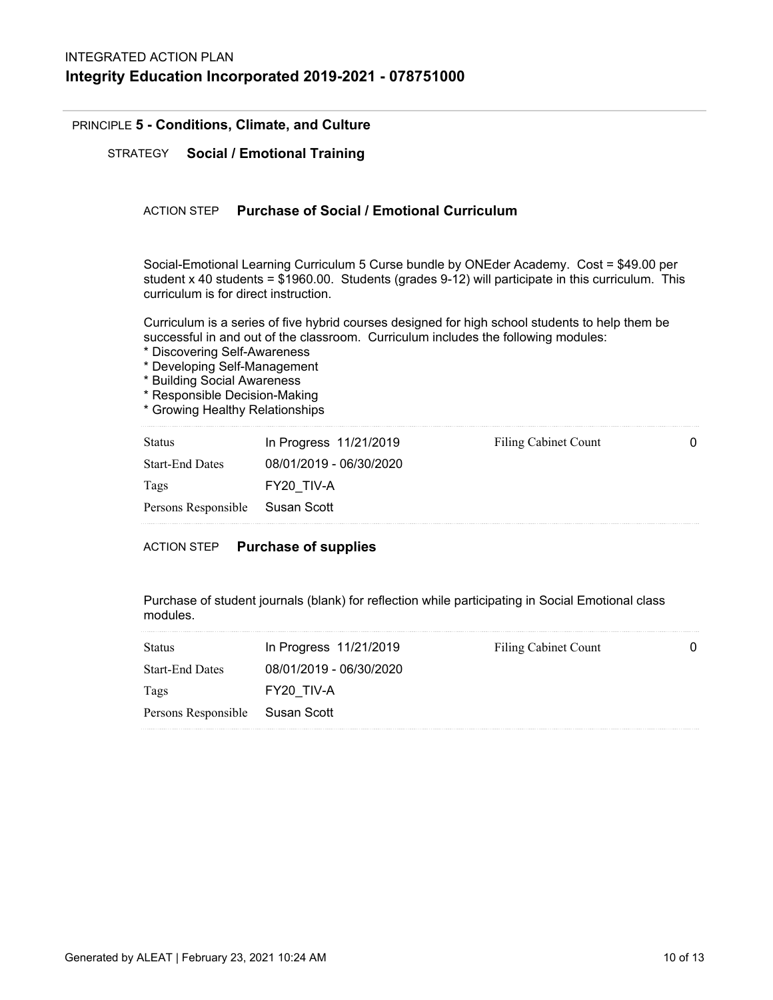# PRINCIPLE **5 - Conditions, Climate, and Culture**

STRATEGY **Social / Emotional Training**

## ACTION STEP **Purchase of Social / Emotional Curriculum**

Social-Emotional Learning Curriculum 5 Curse bundle by ONEder Academy. Cost = \$49.00 per student x 40 students = \$1960.00. Students (grades 9-12) will participate in this curriculum. This curriculum is for direct instruction.

Curriculum is a series of five hybrid courses designed for high school students to help them be successful in and out of the classroom. Curriculum includes the following modules:

- \* Discovering Self-Awareness
- \* Developing Self-Management
- \* Building Social Awareness
- \* Responsible Decision-Making
- \* Growing Healthy Relationships

| <b>Status</b>                   | In Progress 11/21/2019  | Filing Cabinet Count | 0 |
|---------------------------------|-------------------------|----------------------|---|
| <b>Start-End Dates</b>          | 08/01/2019 - 06/30/2020 |                      |   |
| Tags                            | FY20 TIV-A              |                      |   |
| Persons Responsible Susan Scott |                         |                      |   |

## ACTION STEP **Purchase of supplies**

Purchase of student journals (blank) for reflection while participating in Social Emotional class modules.

| <b>Status</b>                   | In Progress 11/21/2019  | Filing Cabinet Count |  |
|---------------------------------|-------------------------|----------------------|--|
| <b>Start-End Dates</b>          | 08/01/2019 - 06/30/2020 |                      |  |
| Tags                            | FY20 TIV-A              |                      |  |
| Persons Responsible Susan Scott |                         |                      |  |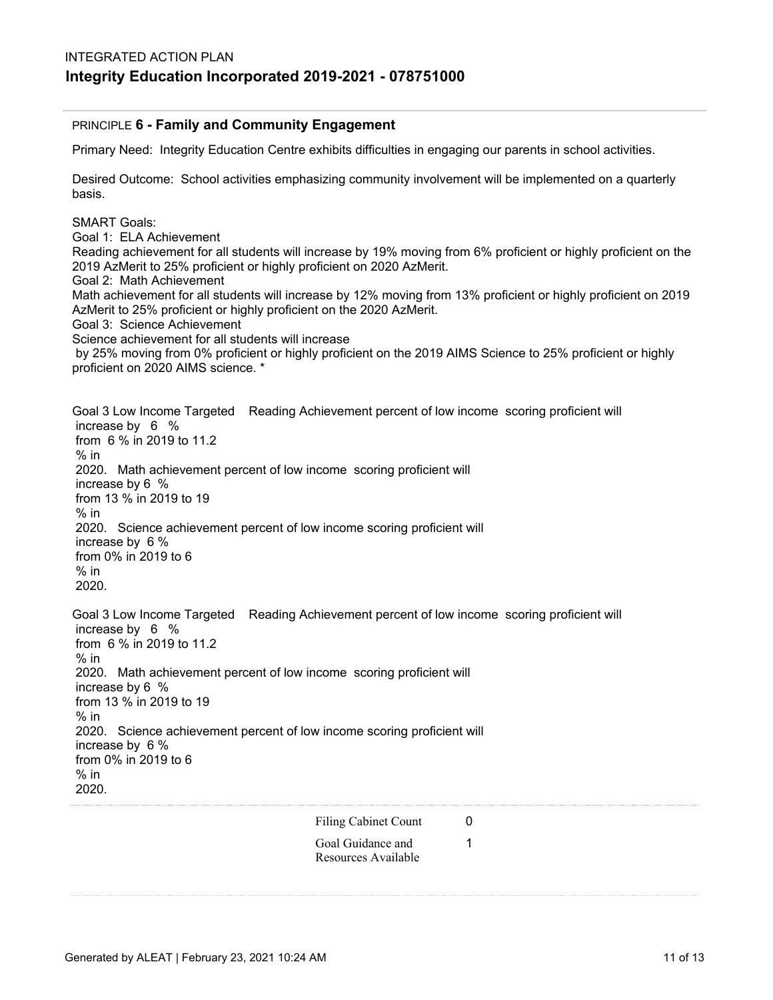### PRINCIPLE **6 - Family and Community Engagement**

Primary Need: Integrity Education Centre exhibits difficulties in engaging our parents in school activities.

Desired Outcome: School activities emphasizing community involvement will be implemented on a quarterly basis.

SMART Goals: Goal 1: ELA Achievement Reading achievement for all students will increase by 19% moving from 6% proficient or highly proficient on the 2019 AzMerit to 25% proficient or highly proficient on 2020 AzMerit. Goal 2: Math Achievement Math achievement for all students will increase by 12% moving from 13% proficient or highly proficient on 2019 AzMerit to 25% proficient or highly proficient on the 2020 AzMerit. Goal 3: Science Achievement Science achievement for all students will increase by 25% moving from 0% proficient or highly proficient on the 2019 AIMS Science to 25% proficient or highly proficient on 2020 AIMS science. \* Goal 3 Low Income Targeted Reading Achievement percent of low income scoring proficient will increase by 6 % from 6 % in 2019 to 11.2  $%$  in 2020. Math achievement percent of low income scoring proficient will

 increase by 6 % from 13 % in 2019 to 19  $%$  in 2020. Science achievement percent of low income scoring proficient will increase by 6 % from 0% in 2019 to 6  $%$  in 2020. Goal 3 Low Income Targeted Reading Achievement percent of low income scoring proficient will

 increase by 6 % from 6 % in 2019 to 11.2 % in 2020. Math achievement percent of low income scoring proficient will increase by 6 % from 13 % in 2019 to 19  $%$  in 2020. Science achievement percent of low income scoring proficient will increase by 6 % from 0% in 2019 to 6  $%$  in 2020.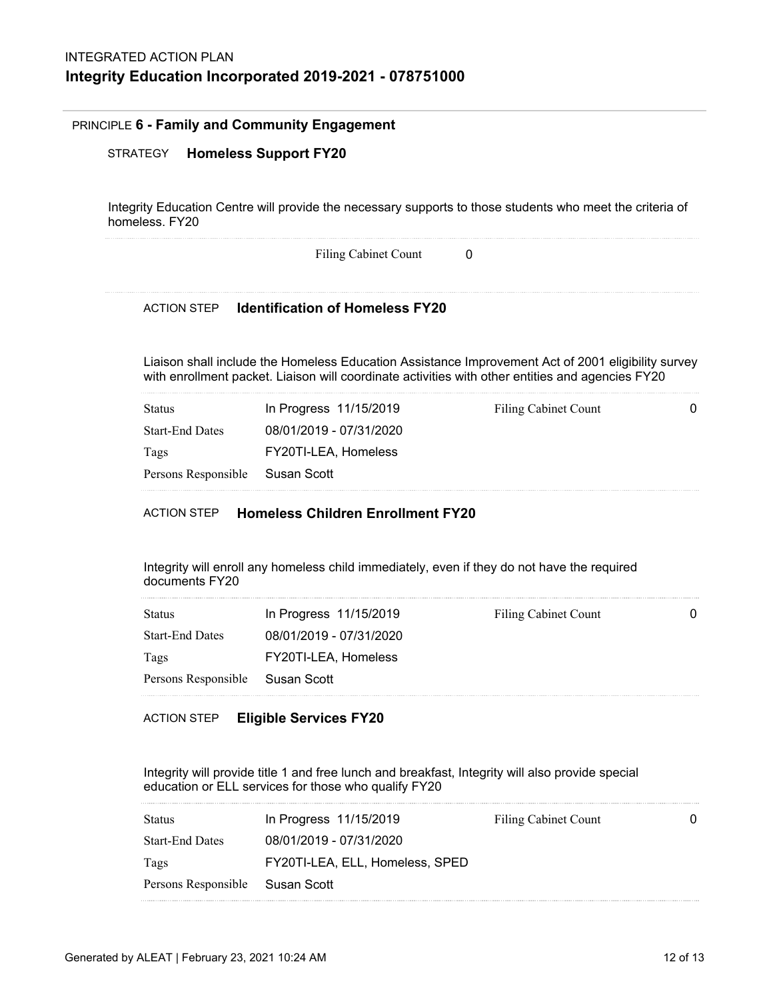#### PRINCIPLE **6 - Family and Community Engagement**

## STRATEGY **Homeless Support FY20**

Integrity Education Centre will provide the necessary supports to those students who meet the criteria of homeless. FY20

Filing Cabinet Count 0

# ACTION STEP **Identification of Homeless FY20**

Liaison shall include the Homeless Education Assistance Improvement Act of 2001 eligibility survey with enrollment packet. Liaison will coordinate activities with other entities and agencies FY20

| In Progress 11/15/2019          | Filing Cabinet Count | 0 |
|---------------------------------|----------------------|---|
| 08/01/2019 - 07/31/2020         |                      |   |
| FY20TI-LEA, Homeless            |                      |   |
| Persons Responsible Susan Scott |                      |   |
|                                 |                      |   |

# ACTION STEP **Homeless Children Enrollment FY20**

Integrity will enroll any homeless child immediately, even if they do not have the required documents FY20

| In Progress 11/15/2019          | Filing Cabinet Count | 0 |
|---------------------------------|----------------------|---|
| 08/01/2019 - 07/31/2020         |                      |   |
| FY20TI-LEA, Homeless            |                      |   |
| Persons Responsible Susan Scott |                      |   |
|                                 |                      |   |

## ACTION STEP **Eligible Services FY20**

Integrity will provide title 1 and free lunch and breakfast, Integrity will also provide special education or ELL services for those who qualify FY20

| Status                          | In Progress 11/15/2019          | Filing Cabinet Count |  |
|---------------------------------|---------------------------------|----------------------|--|
| <b>Start-End Dates</b>          | 08/01/2019 - 07/31/2020         |                      |  |
| Tags                            | FY20TI-LEA, ELL, Homeless, SPED |                      |  |
| Persons Responsible Susan Scott |                                 |                      |  |